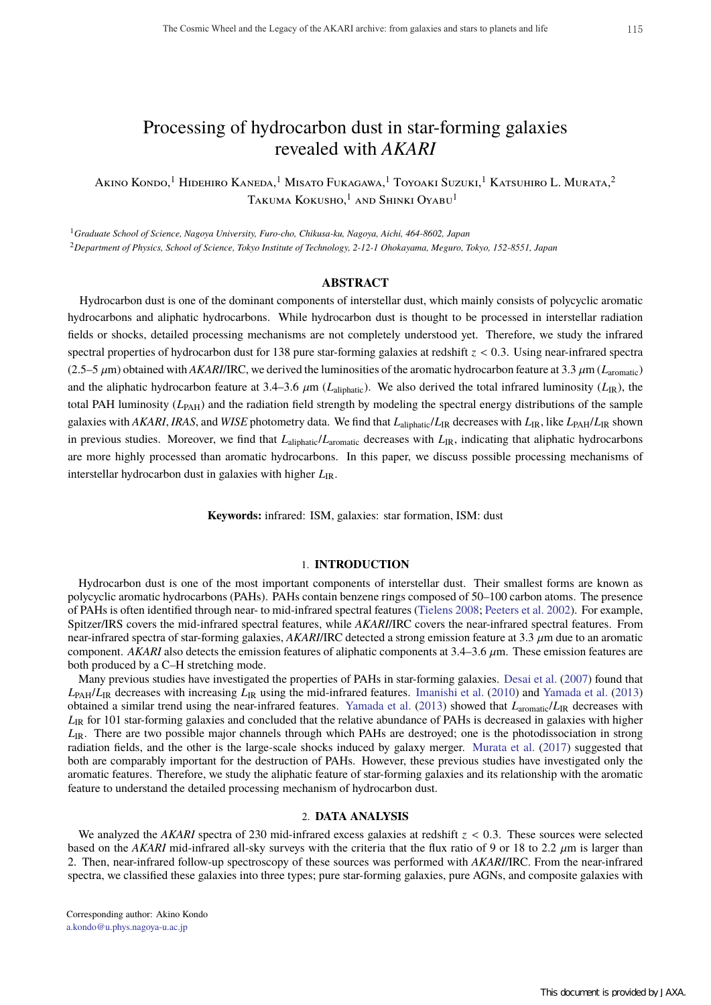# Processing of hydrocarbon dust in star-forming galaxies revealed with *AKARI*

Akino Kondo,<sup>1</sup> Hidehiro Kaneda,<sup>1</sup> Misato Fukagawa,<sup>1</sup> Toyoaki Suzuki,<sup>1</sup> Katsuhiro L. Murata,<sup>2</sup> Takuma Kokusho,<sup>1</sup> and Shinki Oyabu<sup>1</sup>

<sup>1</sup>*Graduate School of Science, Nagoya University, Furo-cho, Chikusa-ku, Nagoya, Aichi, 464-8602, Japan* <sup>2</sup>*Department of Physics, School of Science, Tokyo Institute of Technology, 2-12-1 Ohokayama, Meguro, Tokyo, 152-8551, Japan*

## **ABSTRACT**

Hydrocarbon dust is one of the dominant components of interstellar dust, which mainly consists of polycyclic aromatic hydrocarbons and aliphatic hydrocarbons. While hydrocarbon dust is thought to be processed in interstellar radiation fields or shocks, detailed processing mechanisms are not completely understood yet. Therefore, we study the infrared spectral properties of hydrocarbon dust for 138 pure star-forming galaxies at redshift  $z < 0.3$ . Using near-infrared spectra (2.5–5  $\mu$ m) obtained with *AKARI*/IRC, we derived the luminosities of the aromatic hydrocarbon feature at 3.3  $\mu$ m ( $L_{\text{aromatic}}$ ) and the aliphatic hydrocarbon feature at 3.4–3.6  $\mu$ m ( $L_{\text{aliphatic}}$ ). We also derived the total infrared luminosity ( $L_{\text{IR}}$ ), the total PAH luminosity  $(L_{PAH})$  and the radiation field strength by modeling the spectral energy distributions of the sample galaxies with *AKARI*, *IRAS*, and *WISE* photometry data. We find that *L*aliphatic/*L*IR decreases with *L*IR, like *L*PAH/*L*IR shown in previous studies. Moreover, we find that *L*aliphatic/*Laromatic* decreases with *L*<sub>IR</sub>, indicating that aliphatic hydrocarbons are more highly processed than aromatic hydrocarbons. In this paper, we discuss possible processing mechanisms of interstellar hydrocarbon dust in galaxies with higher  $L_{\text{IR}}$ .

**Keywords:** infrared: ISM, galaxies: star formation, ISM: dust

#### 1. **INTRODUCTION**

Hydrocarbon dust is one of the most important components of interstellar dust. Their smallest forms are known as polycyclic aromatic hydrocarbons (PAHs). PAHs contain benzene rings composed of 50–100 carbon atoms. The presence of PAHs is often identified through near- to mid-infrared spectral features (Tielens 2008; Peeters et al. 2002). For example, Spitzer/IRS covers the mid-infrared spectral features, while *AKARI*/IRC covers the near-infrared spectral features. From near-infrared spectra of star-forming galaxies, *AKARI*/IRC detected a strong emission feature at 3.3 µm due to an aromatic component. *AKARI* also detects the emission features of aliphatic components at  $3.4-3.6 \mu$ m. These emission features are both produced by a C–H stretching mode.

Many previous studies have investigated the properties of PAHs in star-forming galaxies. Desai et al. (2007) found that  $L_{\text{PAH}}/L_{\text{IR}}$  decreases with increasing  $L_{\text{IR}}$  using the mid-infrared features. Imanishi et al. (2010) and Yamada et al. (2013) obtained a similar trend using the near-infrared features. Yamada et al. (2013) showed that *L*aromatic/*L*IR decreases with *L*<sub>IR</sub> for 101 star-forming galaxies and concluded that the relative abundance of PAHs is decreased in galaxies with higher *L*<sub>IR</sub>. There are two possible major channels through which PAHs are destroyed; one is the photodissociation in strong radiation fields, and the other is the large-scale shocks induced by galaxy merger. Murata et al. (2017) suggested that both are comparably important for the destruction of PAHs. However, these previous studies have investigated only the aromatic features. Therefore, we study the aliphatic feature of star-forming galaxies and its relationship with the aromatic feature to understand the detailed processing mechanism of hydrocarbon dust.

## 2. **DATA ANALYSIS**

We analyzed the *AKARI* spectra of 230 mid-infrared excess galaxies at redshift  $z < 0.3$ . These sources were selected based on the *AKARI* mid-infrared all-sky surveys with the criteria that the flux ratio of 9 or 18 to 2.2  $\mu$ m is larger than 2. Then, near-infrared follow-up spectroscopy of these sources was performed with *AKARI*/IRC. From the near-infrared spectra, we classified these galaxies into three types; pure star-forming galaxies, pure AGNs, and composite galaxies with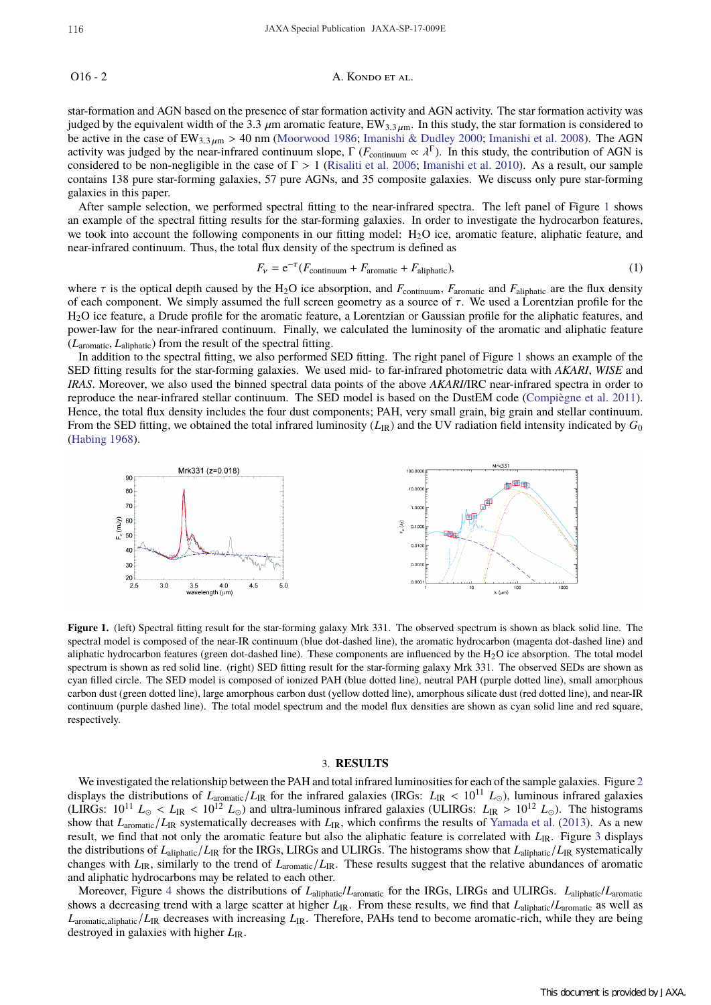### O16 - 2 A. KONDO ET AL.

star-formation and AGN based on the presence of star formation activity and AGN activity. The star formation activity was judged by the equivalent width of the 3.3  $\mu$ m aromatic feature, EW<sub>3.3 $\mu$ m. In this study, the star formation is considered to</sub> be active in the case of  $EW_{3.3 \mu m} > 40$  nm (Moorwood 1986; Imanishi & Dudley 2000; Imanishi et al. 2008). The AGN activity was judged by the near-infrared continuum slope,  $\Gamma$  ( $F_{\text{continuum}} \propto \lambda^{\Gamma}$ ). In this study, the contribution of AGN is considered to be non-negligible in the case of  $\Gamma > 1$  (Risaliti et al. 2006; Imanishi et al. 2010). As a result, our sample contains 138 pure star-forming galaxies, 57 pure AGNs, and 35 composite galaxies. We discuss only pure star-forming galaxies in this paper.

After sample selection, we performed spectral fitting to the near-infrared spectra. The left panel of Figure 1 shows an example of the spectral fitting results for the star-forming galaxies. In order to investigate the hydrocarbon features, we took into account the following components in our fitting model:  $H_2O$  ice, aromatic feature, aliphatic feature, and near-infrared continuum. Thus, the total flux density of the spectrum is defined as

$$
F_{\nu} = e^{-\tau} (F_{\text{continuum}} + F_{\text{aromatic}} + F_{\text{aliphatic}}),
$$
\n(1)

where  $\tau$  is the optical depth caused by the H<sub>2</sub>O ice absorption, and  $F_{\text{continuum}}$ ,  $F_{\text{aromatic}}$  and  $F_{\text{aliphatic}}$  are the flux density of each component. We simply assumed the full screen geometry as a source of  $\tau$ . We used a Lorentzian profile for the H2O ice feature, a Drude profile for the aromatic feature, a Lorentzian or Gaussian profile for the aliphatic features, and power-law for the near-infrared continuum. Finally, we calculated the luminosity of the aromatic and aliphatic feature (*L*aromatic, *L*aliphatic) from the result of the spectral fitting.

In addition to the spectral fitting, we also performed SED fitting. The right panel of Figure 1 shows an example of the SED fitting results for the star-forming galaxies. We used mid- to far-infrared photometric data with *AKARI*, *WISE* and *IRAS*. Moreover, we also used the binned spectral data points of the above *AKARI*/IRC near-infrared spectra in order to reproduce the near-infrared stellar continuum. The SED model is based on the DustEM code (Compiègne et al. 2011). Hence, the total flux density includes the four dust components; PAH, very small grain, big grain and stellar continuum. From the SED fitting, we obtained the total infrared luminosity  $(L_{\rm IR})$  and the UV radiation field intensity indicated by  $G_0$ (Habing 1968).



**Figure 1.** (left) Spectral fitting result for the star-forming galaxy Mrk 331. The observed spectrum is shown as black solid line. The spectral model is composed of the near-IR continuum (blue dot-dashed line), the aromatic hydrocarbon (magenta dot-dashed line) and aliphatic hydrocarbon features (green dot-dashed line). These components are influenced by the  $H_2O$  ice absorption. The total model spectrum is shown as red solid line. (right) SED fitting result for the star-forming galaxy Mrk 331. The observed SEDs are shown as cyan filled circle. The SED model is composed of ionized PAH (blue dotted line), neutral PAH (purple dotted line), small amorphous carbon dust (green dotted line), large amorphous carbon dust (yellow dotted line), amorphous silicate dust (red dotted line), and near-IR continuum (purple dashed line). The total model spectrum and the model flux densities are shown as cyan solid line and red square, respectively.

#### 3. **RESULTS**

We investigated the relationship between the PAH and total infrared luminosities for each of the sample galaxies. Figure 2 displays the distributions of  $L_{\text{a} \text{c} \text{m} \text{atic}}/L_{\text{IR}}$  for the infrared galaxies (IRGs:  $L_{\text{IR}} < 10^{11} L_{\odot}$ ), luminous infrared galaxies (LIRGs:  $10^{11} L_{\odot} < L_{IR} < 10^{12} L_{\odot}$ ) and ultra-luminous infrared galaxies (ULIRGs:  $L_{IR} > 10^{12} L_{\odot}$ ). The histograms show that *L*aromatic/*L*IR systematically decreases with *L*IR, which confirms the results of Yamada et al. (2013). As a new result, we find that not only the aromatic feature but also the aliphatic feature is correlated with *L*IR. Figure 3 displays the distributions of *L*aliphatic/*L*IR for the IRGs, LIRGs and ULIRGs. The histograms show that *L*aliphatic/*L*IR systematically changes with *L*IR, similarly to the trend of *L*aromatic/*L*IR. These results suggest that the relative abundances of aromatic and aliphatic hydrocarbons may be related to each other.

Moreover, Figure 4 shows the distributions of *L*aliphatic/*L*aromatic for the IRGs, LIRGs and ULIRGs. *L*aliphatic/*L*aromatic shows a decreasing trend with a large scatter at higher *L*<sub>IR</sub>. From these results, we find that *L*<sub>aliphatic</sub>/*L*<sub>aromatic</sub> as well as *L*aromatic,aliphatic/*L*IR decreases with increasing *L*IR. Therefore, PAHs tend to become aromatic-rich, while they are being destroyed in galaxies with higher *L*IR.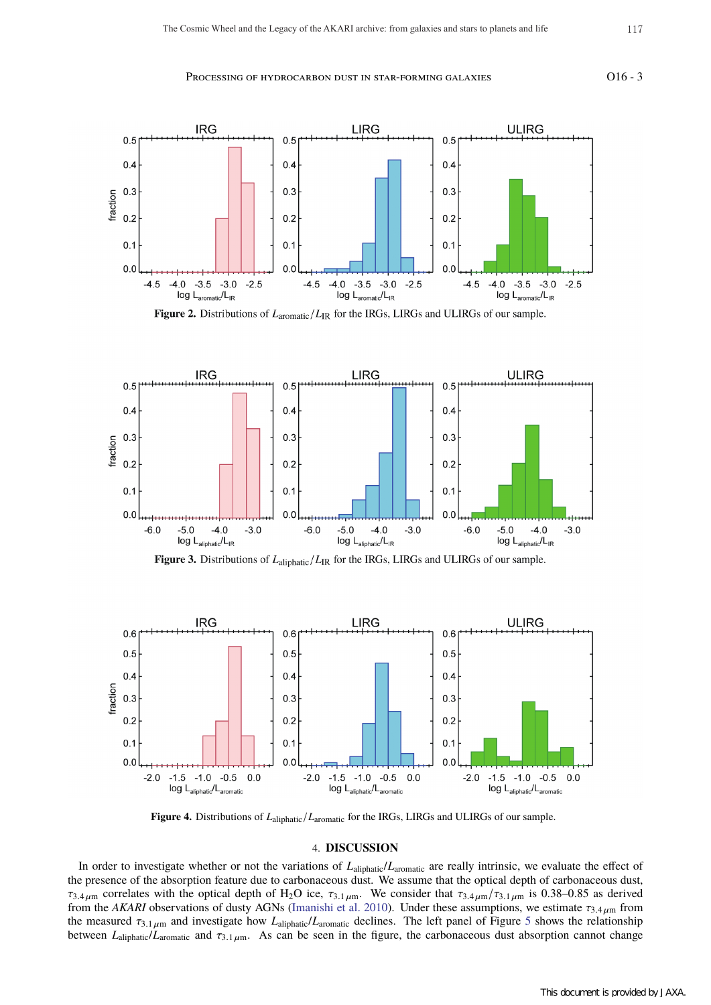#### Processing of hydrocarbon dust in star-forming galaxies 016 - 3

**IRG LIRG ULIRG**  $0.5$  $0.5$ 0 5  $0.4$  $0.4$  $0.4$  $0.3$  $0.3$  $0.3$ fraction  $0.2$  $0.2$  $0.2$  $0.1$  $0.1$  $0.1$  $0.0$  $0.0$  $0.<sub>C</sub>$  $-4.0$  $-3.5$  $-3.0$  $-2.5$  $-4.5$  $-4.0$  $-3.5$  $-3.0$  $-2.5$  $-4.0$  $-3.5 -3.0$  $-2.5$  $-4.5$  $-4.5$  $log L_{\text{aromatic}}/L_{\text{IR}}$ log L<sub>aromatic</sub>/L<sub>IR</sub> log L<sub>aromatic</sub>/L<sub>IR</sub>

**Figure 2.** Distributions of  $L_{\text{aromatic}}/L_{\text{IR}}$  for the IRGs, LIRGs and ULIRGs of our sample.



**Figure 3.** Distributions of  $L_{\text{aliphatic}}/L_{\text{IR}}$  for the IRGs, LIRGs and ULIRGs of our sample.



**Figure 4.** Distributions of *L*aliphatic/*L*aromatic for the IRGs, LIRGs and ULIRGs of our sample.

#### 4. **DISCUSSION**

In order to investigate whether or not the variations of  $L_{\text{aliphatic}}/L_{\text{aromatic}}$  are really intrinsic, we evaluate the effect of the presence of the absorption feature due to carbonaceous dust. We assume that the optical depth of carbonaceous dust,  $\tau_{3.4\,\mu\text{m}}$  correlates with the optical depth of H<sub>2</sub>O ice,  $\tau_{3.1\,\mu\text{m}}$ . We consider that  $\tau_{3.4\,\mu\text{m}}/\tau_{3.1\,\mu\text{m}}$  is 0.38–0.85 as derived from the *AKARI* observations of dusty AGNs (Imanishi et al. 2010). Under these assumptions, we estimate  $\tau_{3.4 \mu m}$  from the measured τ3.<sup>1</sup> <sup>µ</sup><sup>m</sup> and investigate how *L*aliphatic/*L*aromatic declines. The left panel of Figure 5 shows the relationship between  $L_{\text{aliphatic}}/L_{\text{aromatic}}$  and  $\tau_{3.1 \mu \text{m}}$ . As can be seen in the figure, the carbonaceous dust absorption cannot change